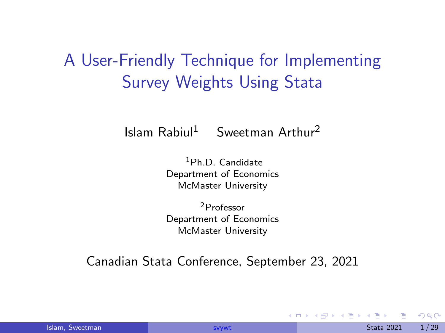# <span id="page-0-0"></span>A User-Friendly Technique for Implementing Survey Weights Using Stata

Islam  $R$ abiul<sup>1</sup> Sweetman Arthur<sup>2</sup>

<sup>1</sup>Ph.D. Candidate Department of Economics McMaster University

<sup>2</sup>Professor Department of Economics McMaster University

Canadian Stata Conference, September 23, 2021

 $200$ 

 $\left\{ \begin{array}{ccc} 1 & 0 & 0 \\ 0 & 0 & 0 \end{array} \right.$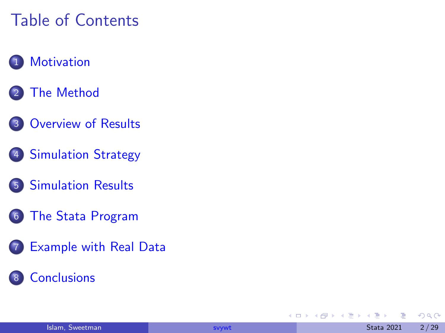# Table of Contents

### 1 [Motivation](#page-2-0)

- **[The Method](#page-4-0)**
- 3 [Overview of Results](#page-8-0)
- 4 [Simulation Strategy](#page-9-0)
- 5 [Simulation Results](#page-12-0)
- 6 [The Stata Program](#page-18-0)
- 7 [Example with Real Data](#page-19-0)
	- **[Conclusions](#page-26-0)**

4 0 8

Э×

 $QQ$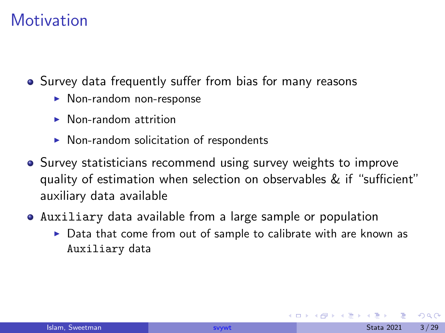## <span id="page-2-0"></span>**Motivation**

• Survey data frequently suffer from bias for many reasons

- $\blacktriangleright$  Non-random non-response
- $\blacktriangleright$  Non-random attrition
- $\triangleright$  Non-random solicitation of respondents
- Survey statisticians recommend using survey weights to improve quality of estimation when selection on observables & if "sufficient" auxiliary data available
- Auxiliary data available from a large sample or population
	- $\triangleright$  Data that come from out of sample to calibrate with are known as Auxiliary data

 $\Omega$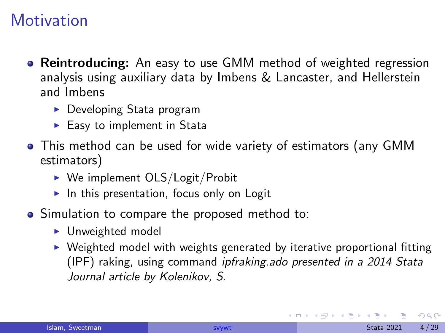## **Motivation**

- Reintroducing: An easy to use GMM method of weighted regression analysis using auxiliary data by Imbens & Lancaster, and Hellerstein and Imbens
	- $\blacktriangleright$  Developing Stata program
	- $\blacktriangleright$  Easy to implement in Stata
- This method can be used for wide variety of estimators (any GMM estimators)
	- $\triangleright$  We implement OLS/Logit/Probit
	- $\blacktriangleright$  In this presentation, focus only on Logit
- Simulation to compare the proposed method to:
	- $\blacktriangleright$  Unweighted model
	- $\triangleright$  Weighted model with weights generated by iterative proportional fitting (IPF) raking, using command ipfraking.ado presented in a 2014 Stata Journal article by Kolenikov, S.

 $200$ 

イロト イ押ト イヨト イヨト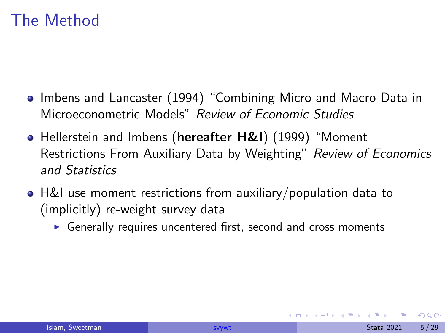- <span id="page-4-0"></span>• Imbens and Lancaster (1994) "Combining Micro and Macro Data in Microeconometric Models" Review of Economic Studies
- Hellerstein and Imbens (hereafter H&I) (1999) "Moment Restrictions From Auxiliary Data by Weighting" Review of Economics and Statistics
- H&I use moment restrictions from auxiliary/population data to (implicitly) re-weight survey data
	- $\triangleright$  Generally requires uncentered first, second and cross moments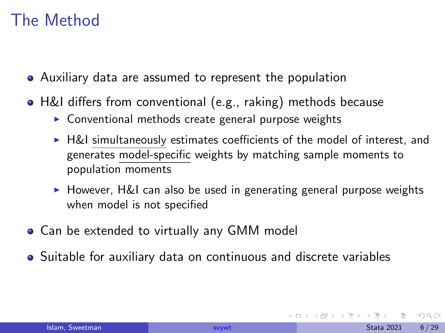- Auxiliary data are assumed to represent the population
- H&I differs from conventional (e.g., raking) methods because
	- $\triangleright$  Conventional methods create general purpose weights
	- $\blacktriangleright$  H&I simultaneously estimates coefficients of the model of interest, and generates model-specific weights by matching sample moments to population moments
	- $\triangleright$  However, H&I can also be used in generating general purpose weights when model is not specified
- Can be extended to virtually any GMM model
- Suitable for auxiliary data on continuous and discrete variables

 $200$ 

化重新润滑脂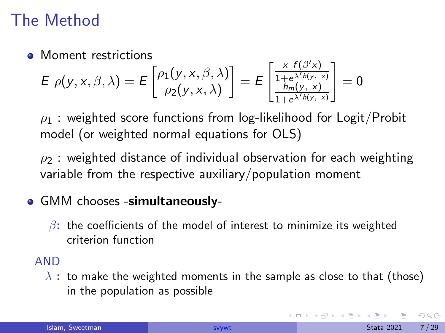• Moment restrictions

$$
E \rho(y, x, \beta, \lambda) = E\begin{bmatrix} \rho_1(y, x, \beta, \lambda) \\ \rho_2(y, x, \lambda) \end{bmatrix} = E\begin{bmatrix} \frac{x f(\beta' x)}{1 + e^{\lambda' h(y, x)}} \\ \frac{h_m(y, x)}{1 + e^{\lambda' h(y, x)}} \end{bmatrix} = 0
$$

 $\rho_1$  : weighted score functions from log-likelihood for Logit/Probit model (or weighted normal equations for OLS)

 $\rho_2$  : weighted distance of individual observation for each weighting variable from the respective auxiliary/population moment

#### • GMM chooses -simultaneously-

 $\beta$ : the coefficients of the model of interest to minimize its weighted criterion function

#### AND

 $\lambda$  : to make the weighted moments in the sample as close to that (those) in the population as possible

 $200$ 

(ロト (個) (ミト (重)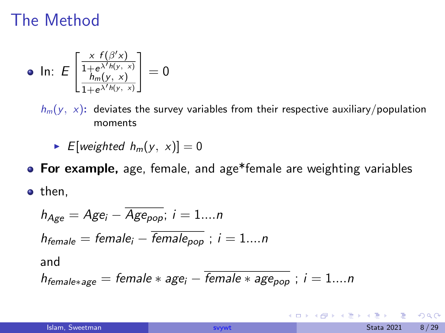• In: 
$$
E\left[\frac{\frac{x f(\beta' x)}{1 + e^{\lambda' h(y, x)}}}{\frac{h_m(y, x)}{1 + e^{\lambda' h(y, x)}}}\right] = 0
$$

 $h_m(y, x)$ : deviates the survey variables from their respective auxiliary/population moments

 $\blacktriangleright$  E[weighted  $h_m(y, x)$ ] = 0

**• For example,** age, female, and age\*female are weighting variables

• then,

$$
h_{Age} = Age_i - \overline{Age_{pop}}; i = 1...n
$$
  
\n
$$
h_{female} = female_i - \overline{female_{pop}}; i = 1...n
$$
  
\nand  
\n
$$
h_{female*age} = female*age_i - \overline{female*age_{pop}}; i = 1...n
$$

4日下

 $200$ 

化重新润滑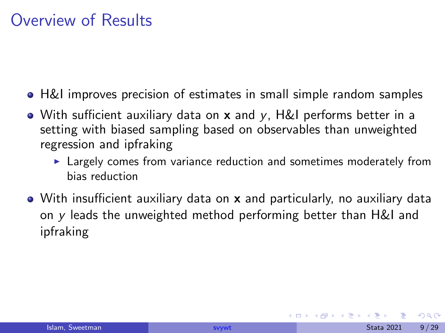## <span id="page-8-0"></span>Overview of Results

- H&I improves precision of estimates in small simple random samples
- With sufficient auxiliary data on  $x$  and  $y$ , H&I performs better in a setting with biased sampling based on observables than unweighted regression and ipfraking
	- $\blacktriangleright$  Largely comes from variance reduction and sometimes moderately from bias reduction
- With insufficient auxiliary data on **x** and particularly, no auxiliary data on y leads the unweighted method performing better than H&I and ipfraking

 $200$ 

化重新润滑脂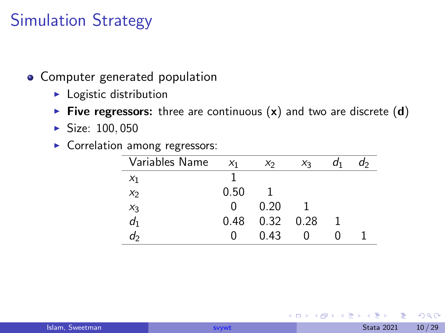## <span id="page-9-0"></span>Simulation Strategy

- Computer generated population
	- $\blacktriangleright$  Logistic distribution
	- Five regressors: three are continuous  $(x)$  and two are discrete  $(d)$
	- $\blacktriangleright$  Size: 100, 050
	- **Correlation among regressors:**

| Variables Name | X <sub>1</sub> | x <sub>2</sub>    | $X_3$ | a1 | a› |
|----------------|----------------|-------------------|-------|----|----|
| $x_1$          |                |                   |       |    |    |
| $x_2$          | 0.50           |                   |       |    |    |
|                | $\mathbf{0}$   | 0.20              |       |    |    |
| $x_3$<br>$d_1$ | 0.48           | $0.32 \quad 0.28$ |       |    |    |
| d2             | 0              | 0.43              |       |    |    |

 $QQ$ 

 $\left\{ \begin{array}{ccc} 0 & 0 & 0 \\ 0 & 0 & 0 \\ 0 & 0 & 0 \end{array} \right\}$ 

4 0 8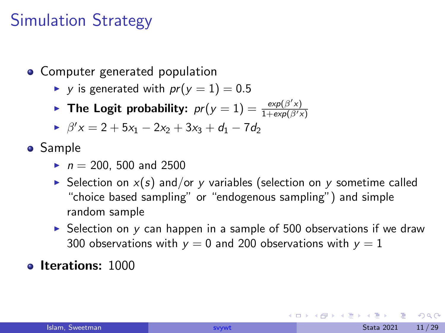# Simulation Strategy

- **Computer generated population** 
	- $\triangleright$  y is generated with  $pr(y = 1) = 0.5$
	- **The Logit probability:**  $pr(y = 1) = \frac{exp(\beta'x)}{1 + exp(\beta'x)}$
	- $\rightarrow \ \beta' x = 2 + 5x_1 2x_2 + 3x_3 + d_1 7d_2$

**•** Sample

- $n = 200, 500$  and 2500
- $\triangleright$  Selection on  $x(s)$  and/or y variables (selection on y sometime called "choice based sampling" or "endogenous sampling") and simple random sample
- $\triangleright$  Selection on y can happen in a sample of 500 observations if we draw 300 observations with  $y = 0$  and 200 observations with  $y = 1$

#### **o** Iterations: 1000

 $QQQ$ 

→ 何 ▶ → ヨ ▶ → ヨ ▶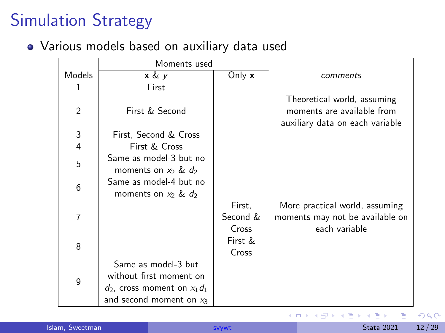# Simulation Strategy

#### Various models based on auxiliary data used

|                | Moments used                                       |          |                                                                                              |
|----------------|----------------------------------------------------|----------|----------------------------------------------------------------------------------------------|
| Models         | x & y                                              | Only x   | comments                                                                                     |
| 1              | First                                              |          |                                                                                              |
| $\overline{2}$ | First & Second                                     |          | Theoretical world, assuming<br>moments are available from<br>auxiliary data on each variable |
| 3              | First, Second & Cross                              |          |                                                                                              |
| 4              | First & Cross                                      |          |                                                                                              |
| 5              | Same as model-3 but no<br>moments on $x_2$ & $d_2$ |          |                                                                                              |
| 6              | Same as model-4 but no<br>moments on $x_2$ & $d_2$ |          |                                                                                              |
|                |                                                    | First,   | More practical world, assuming                                                               |
|                |                                                    | Second & | moments may not be available on                                                              |
|                |                                                    | Cross    | each variable                                                                                |
| 8              |                                                    | First &  |                                                                                              |
|                |                                                    | Cross    |                                                                                              |
|                | Same as model-3 but                                |          |                                                                                              |
| 9              | without first moment on                            |          |                                                                                              |
|                | $d_2$ , cross moment on $x_1d_1$                   |          |                                                                                              |
|                | and second moment on $x_3$                         |          |                                                                                              |

4日下

す唐をす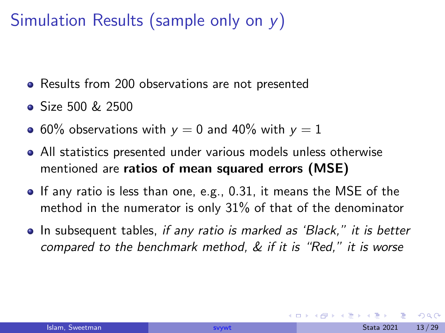# <span id="page-12-0"></span>Simulation Results (sample only on y)

- Results from 200 observations are not presented
- $\bullet$  Size 500 & 2500
- 60% observations with  $y = 0$  and 40% with  $y = 1$
- All statistics presented under various models unless otherwise mentioned are ratios of mean squared errors (MSE)
- $\bullet$  If any ratio is less than one, e.g., 0.31, it means the MSE of the method in the numerator is only 31% of that of the denominator
- In subsequent tables, if any ratio is marked as 'Black," it is better compared to the benchmark method, & if it is "Red," it is worse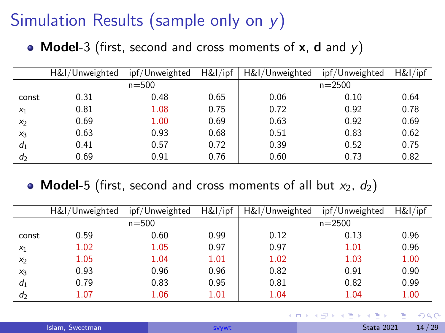# Simulation Results (sample only on y)

• Model-3 (first, second and cross moments of  $x$ , d and  $y$ )

|                | H&I/Unweighted | ipf/Unweighted | H&I/ipf | H&I/Unweighted | ipf/Unweighted | H&I/ipf |
|----------------|----------------|----------------|---------|----------------|----------------|---------|
|                |                | $n = 500$      |         |                | $n = 2500$     |         |
| const          | 0.31           | 0.48           | 0.65    | 0.06           | 0.10           | 0.64    |
| $x_1$          | 0.81           | 1.08           | 0.75    | 0.72           | 0.92           | 0.78    |
| X <sub>2</sub> | 0.69           | 1.00           | 0.69    | 0.63           | 0.92           | 0.69    |
| $X_3$          | 0.63           | 0.93           | 0.68    | 0.51           | 0.83           | 0.62    |
| $d_1$          | 0.41           | 0.57           | 0.72    | 0.39           | 0.52           | 0.75    |
| d <sub>2</sub> | 0.69           | 0.91           | 0.76    | 0.60           | 0.73           | 0.82    |

#### • Model-5 (first, second and cross moments of all but  $x_2$ ,  $d_2$ )

|       | H&I/Unweighted | ipf/Unweighted | H&I/ipf | H&I/Unweighted | ipf/Unweighted | H&I/ipf |
|-------|----------------|----------------|---------|----------------|----------------|---------|
|       |                | $n = 500$      |         |                | $n = 2500$     |         |
| const | 0.59           | 0.60           | 0.99    | 0.12           | 0.13           | 0.96    |
| $x_1$ | 1.02           | 1.05           | 0.97    | 0.97           | 1.01           | 0.96    |
| $x_2$ | 1.05           | 1.04           | 1.01    | 1.02           | 1.03           | 1.00    |
| $X_3$ | 0.93           | 0.96           | 0.96    | 0.82           | 0.91           | 0.90    |
| $d_1$ | 0.79           | 0.83           | 0.95    | 0.81           | 0.82           | 0.99    |
| $d_2$ | 1.07           | 1.06           | 1.01    | 1.04           | 1.04           | 1.00    |

| Islam, Sweetman |  |
|-----------------|--|
|                 |  |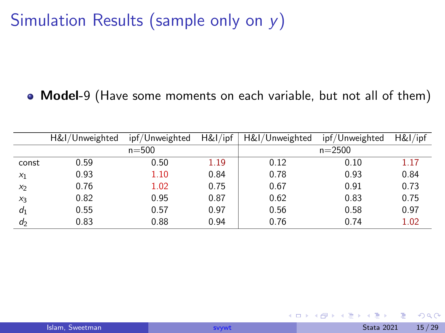# Simulation Results (sample only on y)

#### Model-9 (Have some moments on each variable, but not all of them)

|       | H&I/Unweighted | ipf/Unweighted | H&I/ipf | H&I/Unweighted | ipf/Unweighted | H&I/ipf |
|-------|----------------|----------------|---------|----------------|----------------|---------|
|       |                | $n = 500$      |         |                | $n = 2500$     |         |
| const | 0.59           | 0.50           | 1.19    | 0.12           | 0.10           | 1.17    |
| $x_1$ | 0.93           | 1.10           | 0.84    | 0.78           | 0.93           | 0.84    |
| $x_2$ | 0.76           | 1.02           | 0.75    | 0.67           | 0.91           | 0.73    |
| $x_3$ | 0.82           | 0.95           | 0.87    | 0.62           | 0.83           | 0.75    |
| $d_1$ | 0.55           | 0.57           | 0.97    | 0.56           | 0.58           | 0.97    |
| d     | 0.83           | 0.88           | 0.94    | 0.76           | 0.74           | 1.02    |

不自下

化重新化

 $QQ$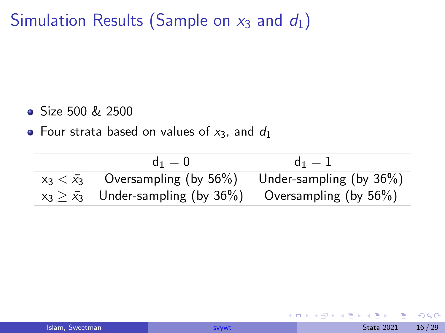Simulation Results (Sample on  $x_3$  and  $d_1$ )

- Size 500 & 2500
- Four strata based on values of  $x_3$ , and  $d_1$

| $d_1 = 0$                                                          | $d_1 = 1$               |
|--------------------------------------------------------------------|-------------------------|
| $x_3 < \bar{x}_3$ Oversampling (by 56%)                            | Under-sampling (by 36%) |
| $x_3 \geq \bar{x}_3$ Under-sampling (by 36%) Oversampling (by 56%) |                         |

不自下

化重新化

 $QQ$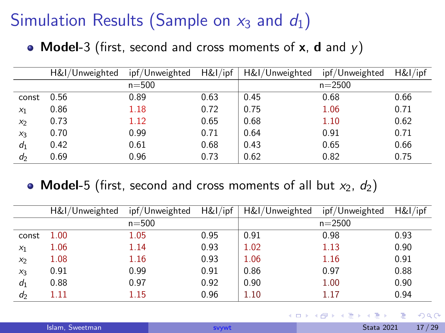# Simulation Results (Sample on  $x_3$  and  $d_1$ )

• Model-3 (first, second and cross moments of  $x$ , d and  $y$ )

|       | H&I/Unweighted | ipf/Unweighted | H&I/ipf | H&I/Unweighted | ipf/Unweighted | H&I/ipf |
|-------|----------------|----------------|---------|----------------|----------------|---------|
|       |                | $n = 500$      |         |                | $n = 2500$     |         |
| const | 0.56           | 0.89           | 0.63    | 0.45           | 0.68           | 0.66    |
| $x_1$ | 0.86           | 1.18           | 0.72    | 0.75           | 1.06           | 0.71    |
| $x_2$ | 0.73           | 1.12           | 0.65    | 0.68           | 1.10           | 0.62    |
| $X_3$ | 0.70           | 0.99           | 0.71    | 0.64           | 0.91           | 0.71    |
| $d_1$ | 0.42           | 0.61           | 0.68    | 0.43           | 0.65           | 0.66    |
| $d_2$ | 0.69           | 0.96           | 0.73    | 0.62           | 0.82           | 0.75    |

#### • Model-5 (first, second and cross moments of all but  $x_2$ ,  $d_2$ )

|       | H&I/Unweighted | ipf/Unweighted | H&I/ipf | H&I/Unweighted | ipf/Unweighted | H&I/ipf |
|-------|----------------|----------------|---------|----------------|----------------|---------|
|       |                | $n = 500$      |         |                | $n = 2500$     |         |
| const | 1.00           | 1.05           | 0.95    | 0.91           | 0.98           | 0.93    |
| $x_1$ | 1.06           | 1.14           | 0.93    | 1.02           | 1.13           | 0.90    |
| $x_2$ | 1.08           | 1.16           | 0.93    | 1.06           | 1.16           | 0.91    |
| $X_3$ | 0.91           | 0.99           | 0.91    | 0.86           | 0.97           | 0.88    |
| $d_1$ | 0.88           | 0.97           | 0.92    | 0.90           | 1.00           | 0.90    |
| $d_2$ | $1.11\,$       | 1.15           | 0.96    | 1.10           | 1.17           | 0.94    |

| Islam, Sweetman |  |  |
|-----------------|--|--|
|                 |  |  |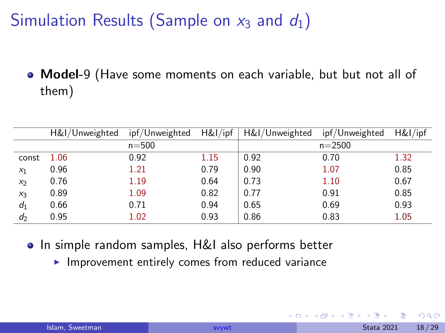# Simulation Results (Sample on  $x_3$  and  $d_1$ )

• Model-9 (Have some moments on each variable, but but not all of them)

|       | H&I/Unweighted | ipf/Unweighted | H&I/ipf | H&I/Unweighted | ipf/Unweighted | H&I/ipf |
|-------|----------------|----------------|---------|----------------|----------------|---------|
|       |                | $n = 500$      |         |                | $n = 2500$     |         |
| const | 1.06           | 0.92           | 1.15    | 0.92           | 0.70           | 1.32    |
| $x_1$ | 0.96           | 1.21           | 0.79    | 0.90           | 1.07           | 0.85    |
| $x_2$ | 0.76           | 1.19           | 0.64    | 0.73           | 1.10           | 0.67    |
| $X_3$ | 0.89           | 1.09           | 0.82    | 0.77           | 0.91           | 0.85    |
| $d_1$ | 0.66           | 0.71           | 0.94    | 0.65           | 0.69           | 0.93    |
| $d_2$ | 0.95           | 1.02           | 0.93    | 0.86           | 0.83           | 1.05    |

- **•** In simple random samples, H&I also performs better
	- $\blacktriangleright$  Improvement entirely comes from reduced variance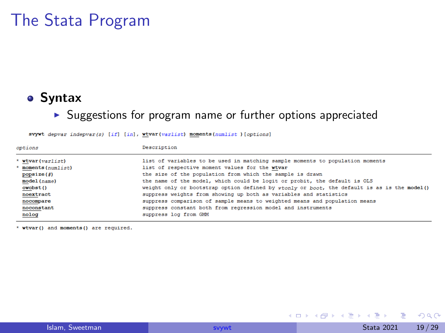## <span id="page-18-0"></span>The Stata Program

#### **•** Syntax

#### $\blacktriangleright$  Suggestions for program name or further options appreciated

| options             | Description                                                                                 |
|---------------------|---------------------------------------------------------------------------------------------|
| * wtvar(varlist)    | list of variables to be used in matching sample moments to population moments               |
| * moments (numlist) | list of respective moment values for the wtvar                                              |
| popsize(f)          | the size of the population from which the sample is drawn                                   |
| model(name)         | the name of the model, which could be logit or probit, the default is OLS                   |
| owobst()            | weight only or bootstrap option defined by wtonly or boot, the default is as is the model() |
| noextract           | suppress weights from showing up both as variables and statistics                           |
| nocompare           | suppress comparison of sample means to weighted means and population means                  |
| noconstant          | suppress constant both from regression model and instruments                                |
| nolog               | suppress log from GMM                                                                       |

svywt depvar indepvar(s) [if] [in], wtvar(varlist) moments(numlist)[options]

\* wtvar() and moments() are required.

 $QQ$ 

 $A \Box B$   $A \Box B$   $A \Box B$   $A \Box B$   $A \Box B$   $A$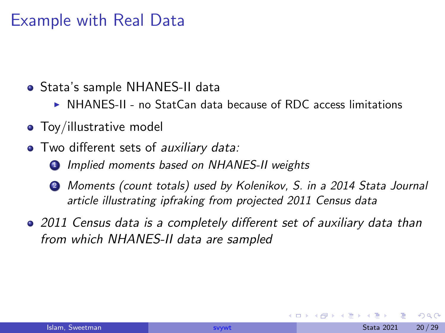## <span id="page-19-0"></span>Example with Real Data

- Stata's sample NHANES-II data
	- $\triangleright$  NHANES-II no StatCan data because of RDC access limitations
- Toy/illustrative model
- Two different sets of auxiliary data:
	- **1** Implied moments based on NHANES-II weights
	- <sup>2</sup> Moments (count totals) used by Kolenikov, S. in a 2014 Stata Journal article illustrating ipfraking from projected 2011 Census data
- 2011 Census data is a completely different set of auxiliary data than from which NHANES-II data are sampled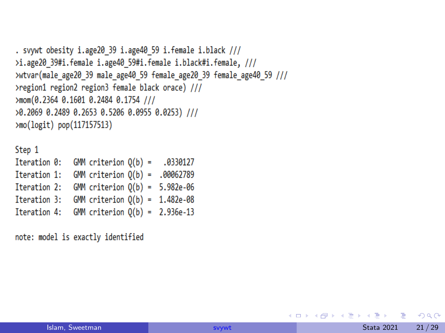```
. svywt obesity i.age20 39 i.age40 59 i.female i.black ///
>i.age20 39#i.female i.age40 59#i.female i.black#i.female, ///
>wtvar(male_age20_39_male_age40_59_female_age20_39_female_age40_59_///
>region1 region2 region3 female black orace) ///
>mom(0.2364 0.1601 0.2484 0.1754 ///
>0.2069 0.2489 0.2653 0.5206 0.0955 0.0253) ///
>mo(logit) pop(117157513)
```
Step 1 Iteration 0: GMM criterion  $Q(b) = .0330127$ Iteration 1: GMM criterion  $Q(b) = .00062789$ Iteration 2: GMM criterion  $Q(b) = 5.982e-06$ Iteration 3: GMM criterion  $Q(b) = 1.482e-08$ Iteration 4: GMM criterion  $Q(b) = 2.936e-13$ 

note: model is exactly identified

**KOD KARD KED KED DE VOOR**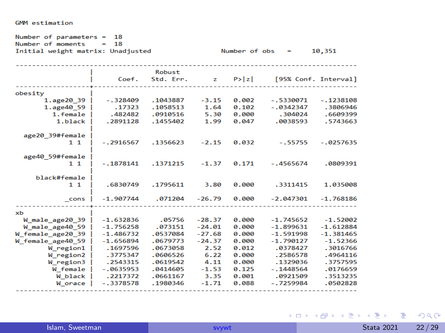| Number of parameters $= 18$<br>Number of moments<br>18<br>$\blacksquare$<br>Initial weight matrix: Unadjusted<br>10,351<br>Number of $obs =$                                |                                                                                                                                       |                                                                                                                   |                                                                                                    |                                                                                        |                                                                                                                                        |                                                                                                                                |  |  |
|-----------------------------------------------------------------------------------------------------------------------------------------------------------------------------|---------------------------------------------------------------------------------------------------------------------------------------|-------------------------------------------------------------------------------------------------------------------|----------------------------------------------------------------------------------------------------|----------------------------------------------------------------------------------------|----------------------------------------------------------------------------------------------------------------------------------------|--------------------------------------------------------------------------------------------------------------------------------|--|--|
|                                                                                                                                                                             | Coef.                                                                                                                                 | <b>Robust</b><br>Std. Err.                                                                                        |                                                                                                    | $z \quad P >  z $                                                                      | [95% Conf. Interval]                                                                                                                   |                                                                                                                                |  |  |
| obesity<br>1.age20 39 $ $<br>1.age40 59<br>1.female  <br>1.black<br>age20 39#female<br>$1\quad1$<br>age40 59#female<br>$1 \; 1$<br>black#female<br>$1 \; 1$                 | $-.328409$<br>.17323<br>.482482<br>.2891128<br>$-.2916567$<br>$-.1878141$<br>.6830749                                                 | .1043887<br>.1058513<br>.0910516<br>.1455402<br>.1356623<br>.1371215<br>.1795611                                  | $-3.15$<br>1.64<br>5.30<br>1.99<br>$-2.15$<br>$-1.37$<br>3.80                                      | 0.002<br>0.102<br>0.000<br>0.047<br>0.032<br>0.171<br>0.000                            | $-.5330071$<br>$-0.0342347$<br>.304024<br>.0038593<br>$-.55755$<br>$-.4565674$<br>.3311415                                             | $-.1238108$<br>.3806946<br>.6609399<br>.5743663<br>$-.0257635$<br>.0809391<br>1.035008                                         |  |  |
| cons                                                                                                                                                                        | $-1.907744$                                                                                                                           | .071204                                                                                                           | $-26.79$                                                                                           | 0.000                                                                                  | $-2.047301$                                                                                                                            | $-1.768186$                                                                                                                    |  |  |
| xh<br>W male age20 39<br>W male age40 59<br>W female age20 39<br>W female age40 59<br>W region1<br>W region2<br>$W$ region3 $\parallel$<br>W female<br>W black<br>W orace I | $-1.632836$<br>$-1.756258$<br>$-1.486732$<br>$-1.656894$<br>.1697596<br>.3775347<br>.2543315<br>$-0635953$<br>.2217372<br>$-.3378578$ | .05756<br>.073151<br>.0537084<br>.0679773<br>.0673058<br>.0606526<br>.0619542<br>.0414605<br>.0661167<br>.1980346 | $-28.37$<br>$-24.01$<br>$-27.68$<br>$-24.37$<br>2.52<br>6.22<br>4.11<br>$-1.53$<br>3.35<br>$-1.71$ | 0.000<br>0.000<br>0.000<br>0.000<br>0.012<br>0.000<br>0.000<br>0.125<br>0.001<br>0.088 | $-1.745652$<br>$-1.899631$<br>$-1.591998$<br>$-1.790127$<br>.0378427<br>.2586578<br>.1329036<br>$-.1448564$<br>.0921509<br>$-.7259984$ | $-1.52002$<br>$-1.612884$<br>$-1.381465$<br>$-1.52366$<br>.3016766<br>.4964116<br>.3757595<br>.0176659<br>.3513235<br>.0502828 |  |  |

#### GMM estimation

Islam, Sweetman [svywt](#page-0-0) Stata 2021 22/29

**Kロト K個 K K ミト K ミト 「ミ」 の Q (^**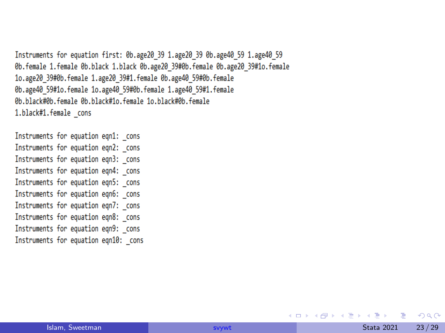Instruments for equation first: 0b.age20 39 1.age20 39 0b.age40 59 1.age40 59 0b.female 1.female 0b.black 1.black 0b.age20 39#0b.female 0b.age20 39#1o.female 1o.age20 39#0b.female 1.age20 39#1.female 0b.age40 59#0b.female 0b.age40 59#1o.female 1o.age40 59#0b.female 1.age40 59#1.female 0b.black#0b.female 0b.black#1o.female 1o.black#0b.female 1.black#1.female cons

Instruments for equation eqn1: cons Instruments for equation eqn2: cons Instruments for equation eqn3: cons Instruments for equation eqn4: cons Instruments for equation eqn5: cons Instruments for equation eqn6: cons Instruments for equation eqn7: cons Instruments for equation eqn8: cons Instruments for equation eqn9: cons Instruments for equation eqn10: cons

 $2990$ 

イロン イ部ン イヨン イヨン 一君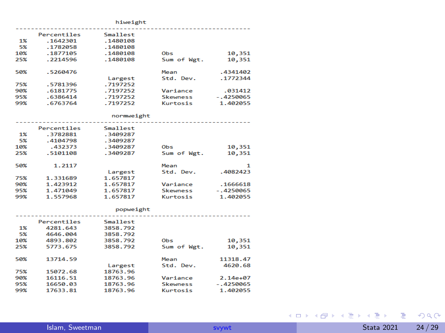|     |             | hiweight   |                 |             |
|-----|-------------|------------|-----------------|-------------|
|     | Percentiles | Smallest   |                 |             |
| 1%  | .1642301    |            |                 |             |
|     |             | .1480108   |                 |             |
| 5%  | .1782058    | .1480108   |                 |             |
| 10% | .1877105    | .1480108   | Obs             | 10,351      |
| 25% | .2214596    | .1480108   | Sum of Wgt.     | 10,351      |
| 50% | .5260476    |            | Mean            | .4341402    |
|     |             | Largest    | Std. Dev.       | .1772344    |
| 75% | .5781396    | .7197252   |                 |             |
| 90% | .6181775    | .7197252   | Variance        | .031412     |
| 95% | .6386414    | .7197252   | <b>Skewness</b> | $-.4250065$ |
| 99% | .6763764    | .7197252   | Kurtosis        | 1.402055    |
|     |             | normweight |                 |             |
|     | Percentiles | Smallest   |                 |             |
| 1%  | .3782881    | .3409287   |                 |             |
| 5%  | .4104798    | .3409287   |                 |             |
| 10% | .432373     | .3409287   | Obs             | 10,351      |
| 25% | .5101108    | .3409287   | Sum of Wgt.     | 10,351      |
| 50% | 1.2117      |            | Mean            | 1           |
|     |             | Largest    | Std. Dev.       | .4082423    |
| 75% | 1.331689    | 1.657817   |                 |             |
| 90% | 1.423912    | 1.657817   | Variance        | .1666618    |
| 95% | 1.471049    | 1.657817   | <b>Skewness</b> | $-.4250065$ |
| 99% | 1.557968    | 1.657817   | Kurtosis        | 1.402055    |
|     |             | popweight  |                 |             |
|     |             |            |                 |             |
|     | Percentiles | Smallest   |                 |             |
| 1%  | 4281.643    | 3858.792   |                 |             |
| 5%  | 4646.004    | 3858.792   |                 |             |
| 10% | 4893.802    | 3858.792   | Obs             | 10,351      |
| 25% | 5773.675    | 3858.792   | Sum of Wgt.     | 10,351      |

|     | Percent11es | SMAILPST |                 |              |
|-----|-------------|----------|-----------------|--------------|
| 1%  | 4281.643    | 3858.792 |                 |              |
| 5%  | 4646.004    | 3858.792 |                 |              |
| 10% | 4893.802    | 3858.792 | Ob <sub>s</sub> | 10,351       |
| 25% | 5773.675    | 3858.792 | Sum of Wgt.     | 10,351       |
| 50% | 13714.59    |          | Mean            | 11318.47     |
|     |             | Largest  | Std. Dev.       | 4620.68      |
| 75% | 15072.68    | 18763.96 |                 |              |
| 90% | 16116.51    | 18763.96 | Variance        | $2.14e + 07$ |
| 95% | 16650.03    | 18763.96 | <b>Skewness</b> | $-.4250065$  |
| 99% | 17633.81    | 18763.96 | Kurtosis        | 1.402055     |
|     |             |          |                 |              |

**Kロト K個 K K ミト K ミト 「ミ」 の Q (^**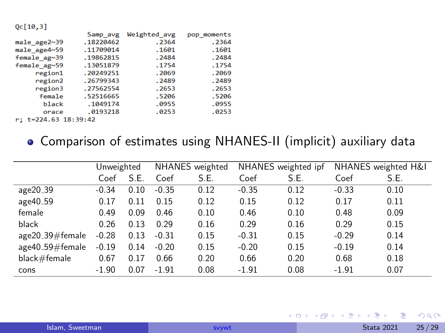$Qc[10,3]$ 

|                 | Samp avg  | Weighted avg | pop moments |
|-----------------|-----------|--------------|-------------|
| male_age2~39    | .18220462 | .2364        | .2364       |
| male age4~59    | .11709014 | .1601        | .1601       |
| female ag~39    | .19862815 | .2484        | .2484       |
| $f$ emale ag~59 | .13051879 | .1754        | .1754       |
| region1         | .20249251 | .2069        | .2069       |
| region2         | .26799343 | .2489        | .2489       |
| region3         | .27562554 | .2653        | .2653       |
| female          | .52516665 | .5206        | .5206       |
| black           | .1049174  | .0955        | .0955       |
| orace           | .0193218  | .0253        | .0253       |
|                 |           |              |             |

r; t=224.63 18:39:42

#### Comparison of estimates using NHANES-II (implicit) auxiliary data

|                      | Unweighted |      | NHANES weighted |      | NHANES weighted ipf |      | NHANES weighted H&I |      |
|----------------------|------------|------|-----------------|------|---------------------|------|---------------------|------|
|                      | Coef       | S.E. | Coef            | S.E. | Coef                | S.E. | Coef                | S.E. |
| age20 <sub>-39</sub> | $-0.34$    | 0.10 | $-0.35$         | 0.12 | $-0.35$             | 0.12 | $-0.33$             | 0.10 |
| age40_59             | 0.17       | 0.11 | 0.15            | 0.12 | 0.15                | 0.12 | 0.17                | 0.11 |
| female               | 0.49       | 0.09 | 0.46            | 0.10 | 0.46                | 0.10 | 0.48                | 0.09 |
| black                | 0.26       | 0.13 | 0.29            | 0.16 | 0.29                | 0.16 | 0.29                | 0.15 |
| $age20_39#female$    | $-0.28$    | 0.13 | $-0.31$         | 0.15 | $-0.31$             | 0.15 | $-0.29$             | 0.14 |
| $age40_59\#female$   | $-0.19$    | 0.14 | $-0.20$         | 0.15 | $-0.20$             | 0.15 | $-0.19$             | 0.14 |
| black#female         | 0.67       | 0.17 | 0.66            | 0.20 | 0.66                | 0.20 | 0.68                | 0.18 |
| cons                 | $-1.90$    | 0.07 | $-1.91$         | 0.08 | $-1.91$             | 0.08 | $-1.91$             | 0.07 |

目

 $\leftarrow$   $\leftarrow$   $\leftarrow$   $\leftarrow$   $\leftarrow$   $\leftarrow$   $\leftarrow$   $\leftarrow$   $\leftarrow$   $\leftarrow$   $\leftarrow$   $\leftarrow$   $\leftarrow$   $\leftarrow$   $\leftarrow$   $\leftarrow$   $\leftarrow$   $\leftarrow$   $\leftarrow$   $\leftarrow$   $\leftarrow$   $\leftarrow$   $\leftarrow$   $\leftarrow$   $\leftarrow$   $\leftarrow$   $\leftarrow$   $\leftarrow$   $\leftarrow$   $\leftarrow$   $\leftarrow$   $\leftarrow$   $\leftarrow$   $\leftarrow$   $\leftarrow$   $\leftarrow$   $\leftarrow$ 

 $QQ$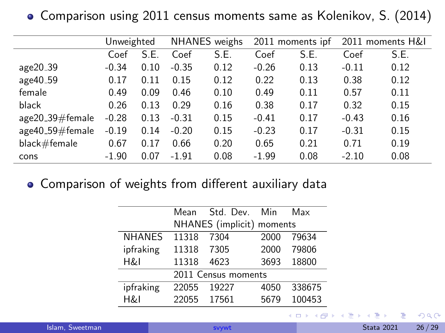Comparison using 2011 census moments same as Kolenikov, S. (2014)

|                    | Unweighted |      | NHANES weighs |      | 2011 moments ipf |      | 2011 moments H&I |      |
|--------------------|------------|------|---------------|------|------------------|------|------------------|------|
|                    | Coef       | S.E. | Coef          | S.E. | Coef             | S.E. | Coef             | S.E. |
| age20_39           | $-0.34$    | 0.10 | $-0.35$       | 0.12 | $-0.26$          | 0.13 | $-0.11$          | 0.12 |
| age40_59           | 0.17       | 0.11 | 0.15          | 0.12 | 0.22             | 0.13 | 0.38             | 0.12 |
| female             | 0.49       | 0.09 | 0.46          | 0.10 | 0.49             | 0.11 | 0.57             | 0.11 |
| black              | 0.26       | 0.13 | 0.29          | 0.16 | 0.38             | 0.17 | 0.32             | 0.15 |
| $age20_39\#female$ | $-0.28$    | 0.13 | $-0.31$       | 0.15 | $-0.41$          | 0.17 | $-0.43$          | 0.16 |
| $age40_59\#female$ | $-0.19$    | 0.14 | $-0.20$       | 0.15 | $-0.23$          | 0.17 | $-0.31$          | 0.15 |
| black#female       | 0.67       | 0.17 | 0.66          | 0.20 | 0.65             | 0.21 | 0.71             | 0.19 |
| cons               | $-1.90$    | 0.07 | $-1.91$       | 0.08 | $-1.99$          | 0.08 | $-2.10$          | 0.08 |

Comparison of weights from different auxiliary data

|               | Mean                | Std. Dev. Min             |      | Max    |  |  |  |
|---------------|---------------------|---------------------------|------|--------|--|--|--|
|               |                     | NHANES (implicit) moments |      |        |  |  |  |
| <b>NHANES</b> | 11318               | 7304                      | 2000 | 79634  |  |  |  |
| ipfraking     | 11318               | 7305                      | 2000 | 79806  |  |  |  |
| H&I           | 11318               | 4623                      | 3693 | 18800  |  |  |  |
|               | 2011 Census moments |                           |      |        |  |  |  |
| ipfraking     | 22055               | 19227                     | 4050 | 338675 |  |  |  |
| H&I           | 22055               | 17561                     | 5679 | 100453 |  |  |  |

4日下

 $QQ$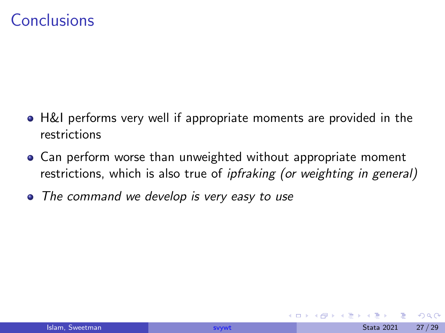## <span id="page-26-0"></span>Conclusions

- H&I performs very well if appropriate moments are provided in the restrictions
- Can perform worse than unweighted without appropriate moment restrictions, which is also true of *ipfraking (or weighting in general)*
- The command we develop is very easy to use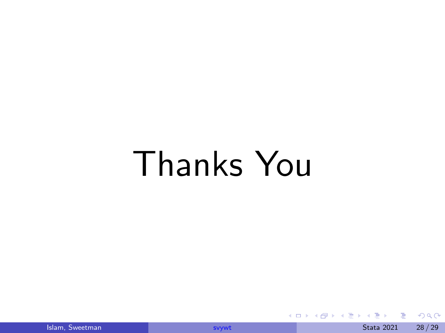# Thanks You

 $299$ 

イロト イ御 トイヨ トイヨ